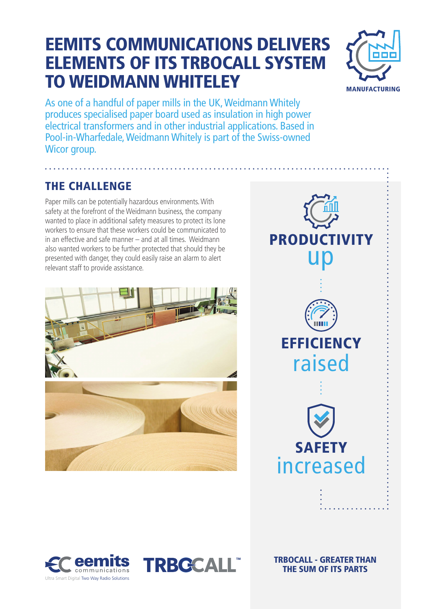## EEMITS COMMUNICATIONS DELIVERS ELEMENTS OF ITS TRBOCALL SYSTEM TO WEIDMANN WHITELEY



As one of a handful of paper mills in the UK, Weidmann Whitely produces specialised paper board used as insulation in high power electrical transformers and in other industrial applications. Based in Pool-in-Wharfedale, Weidmann Whitely is part of the Swiss-owned Wicor group.

#### THE CHALLENGE

Paper mills can be potentially hazardous environments. With safety at the forefront of the Weidmann business, the company wanted to place in additional safety measures to protect its lone workers to ensure that these workers could be communicated to in an effective and safe manner – and at all times. Weidmann also wanted workers to be further protected that should they be presented with danger, they could easily raise an alarm to alert relevant staff to provide assistance.









TRBOCALL - GREATER THAN THE SUM OF ITS PARTS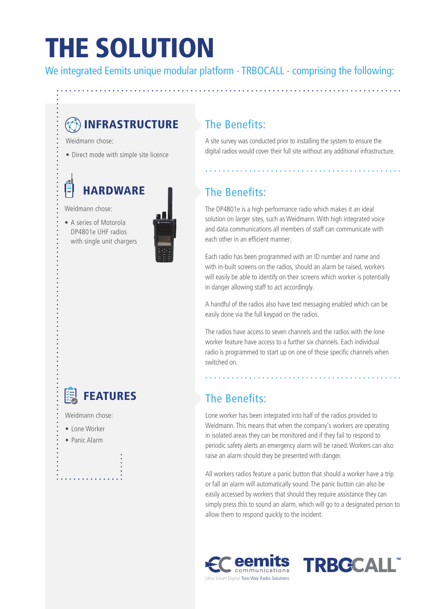## THE SOLUTION

We integrated Eemits unique modular platform - TRBOCALL - comprising the following:

### **B**INFRASTRUCTURE

Weidmann chose:

• Direct mode with simple site licence

## **HARDWARE**

Weidmann chose:

• A series of Motorola DP4801e UHF radios with single unit chargers



#### The Benefits:

A site survey was conducted prior to installing the system to ensure the digital radios would cover their full site without any additional infrastructure.

#### The Benefits:

The DP4801e is a high performance radio which makes it an ideal solution on larger sites, such as Weidmann. With high integrated voice and data communications all members of staff can communicate with each other in an efficient manner.

Each radio has been programmed with an ID number and name and with in-built screens on the radios, should an alarm be raised, workers will easily be able to identify on their screens which worker is potentially in danger allowing staff to act accordingly.

A handful of the radios also have text messaging enabled which can be easily done via the full keypad on the radios.

The radios have access to seven channels and the radios with the lone worker feature have access to a further six channels. Each individual radio is programmed to start up on one of those specific channels when switched on.

#### The Benefits:

Lone worker has been integrated into half of the radios provided to Weidmann. This means that when the company's workers are operating in isolated areas they can be monitored and if they fail to respond to periodic safety alerts an emergency alarm will be raised.Workers can also raise an alarm should they be presented with danger.

All workers radios feature a panic button that should a worker have a trip or fall an alarm will automatically sound. The panic button can also be easily accessed by workers that should they require assistance they can simply press this to sound an alarm, which will go to a designated person to allow them to respond quickly to the incident.





### FEATURES

Weidmann chose:

- Lone Worker
- Panic Alarm